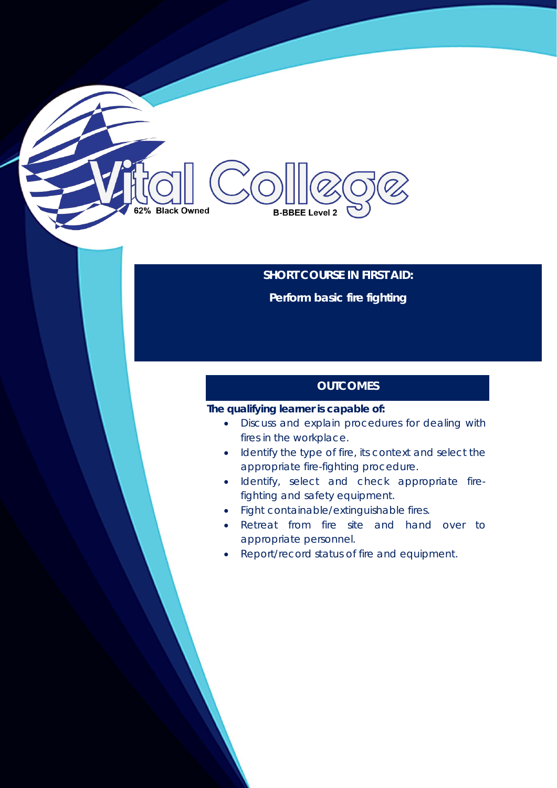# **SHORT COURSE IN FIRST AID: Perform basic fire fighting**

## **OUTCOMES**

## **The qualifying learner is capable of:**

**B-BBEE Level 2** 

62% Black Owned

- Discuss and explain procedures for dealing with fires in the workplace.
- Identify the type of fire, its context and select the appropriate fire-fighting procedure.
- Identify, select and check appropriate firefighting and safety equipment.
- Fight containable/extinguishable fires.
- Retreat from fire site and hand over to appropriate personnel.
- Report/record status of fire and equipment.